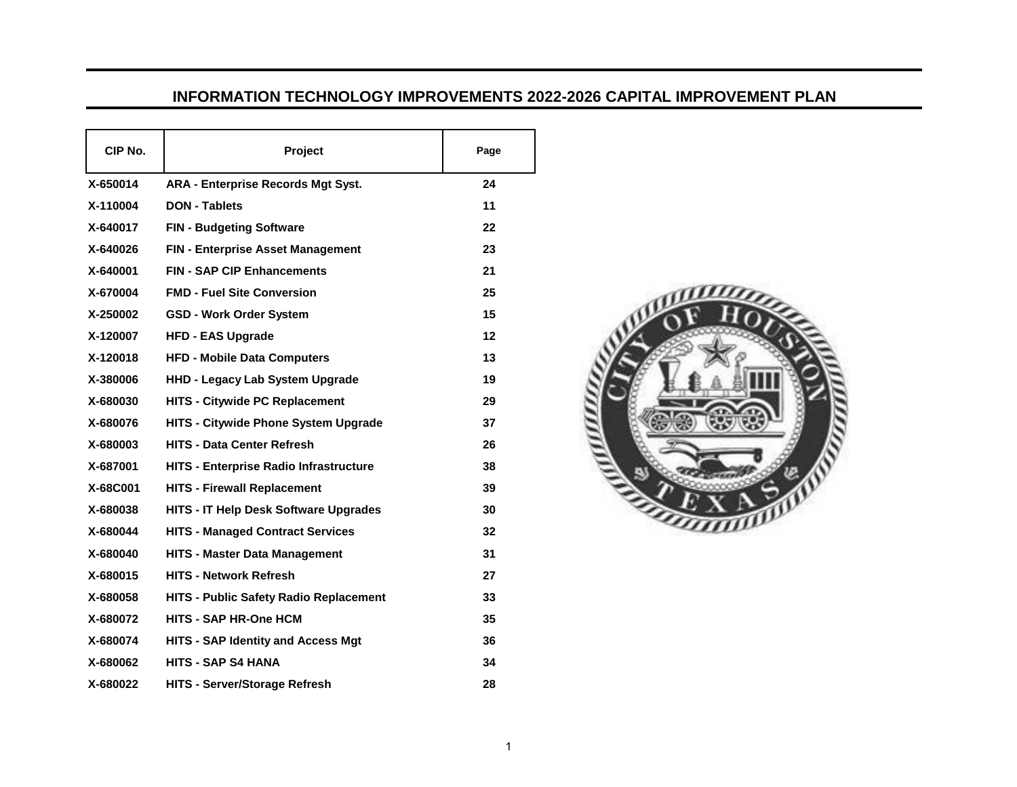## **INFORMATION TECHNOLOGY IMPROVEMENTS 2022-2026 CAPITAL IMPROVEMENT PLAN**

| CIP No.  | <b>Project</b>                                | Page |
|----------|-----------------------------------------------|------|
| X-650014 | <b>ARA - Enterprise Records Mgt Syst.</b>     | 24   |
| X-110004 | <b>DON - Tablets</b>                          | 11   |
| X-640017 | <b>FIN - Budgeting Software</b>               | 22   |
| X-640026 | <b>FIN - Enterprise Asset Management</b>      | 23   |
| X-640001 | <b>FIN - SAP CIP Enhancements</b>             | 21   |
| X-670004 | <b>FMD - Fuel Site Conversion</b>             | 25   |
| X-250002 | <b>GSD - Work Order System</b>                | 15   |
| X-120007 | <b>HFD - EAS Upgrade</b>                      | 12   |
| X-120018 | <b>HFD - Mobile Data Computers</b>            | 13   |
| X-380006 | <b>HHD - Legacy Lab System Upgrade</b>        | 19   |
| X-680030 | <b>HITS - Citywide PC Replacement</b>         | 29   |
| X-680076 | <b>HITS - Citywide Phone System Upgrade</b>   | 37   |
| X-680003 | <b>HITS - Data Center Refresh</b>             | 26   |
| X-687001 | <b>HITS - Enterprise Radio Infrastructure</b> | 38   |
| X-68C001 | <b>HITS - Firewall Replacement</b>            | 39   |
| X-680038 | <b>HITS - IT Help Desk Software Upgrades</b>  | 30   |
| X-680044 | <b>HITS - Managed Contract Services</b>       | 32   |
| X-680040 | <b>HITS - Master Data Management</b>          | 31   |
| X-680015 | <b>HITS - Network Refresh</b>                 | 27   |
| X-680058 | <b>HITS - Public Safety Radio Replacement</b> | 33   |
| X-680072 | <b>HITS - SAP HR-One HCM</b>                  | 35   |
| X-680074 | <b>HITS - SAP Identity and Access Mgt</b>     | 36   |
| X-680062 | <b>HITS - SAP S4 HANA</b>                     | 34   |
| X-680022 | <b>HITS - Server/Storage Refresh</b>          | 28   |

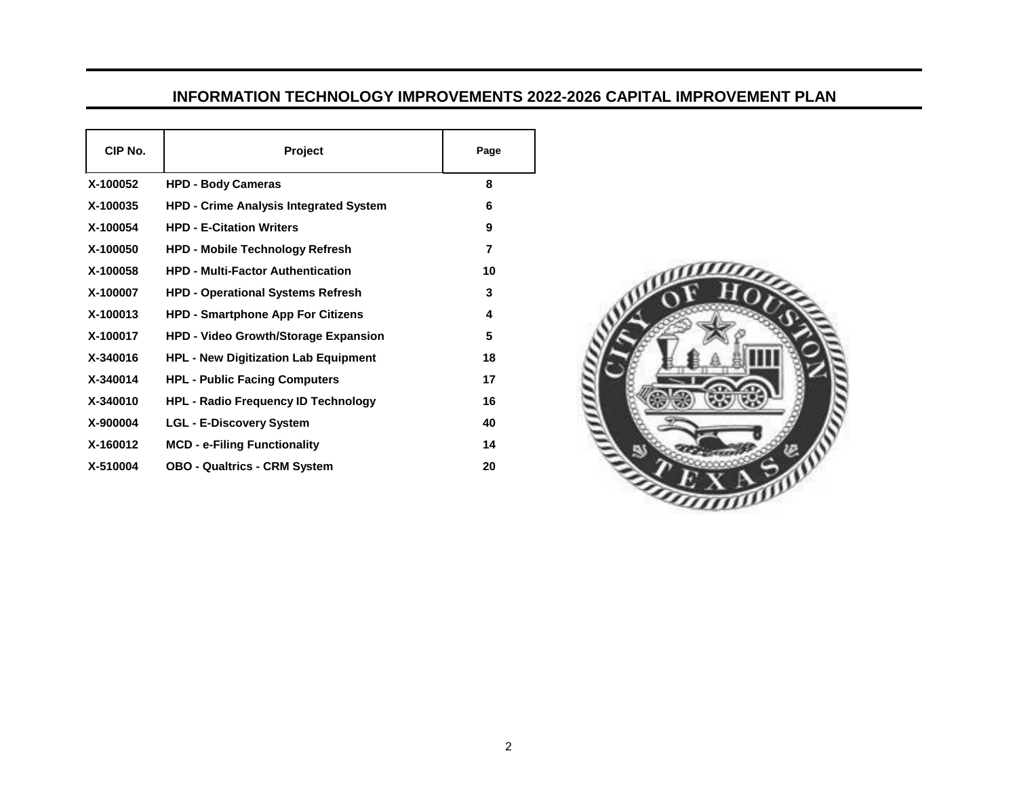## **INFORMATION TECHNOLOGY IMPROVEMENTS 2022-2026 CAPITAL IMPROVEMENT PLAN**

| CIP No.  | Project                                       | Page |
|----------|-----------------------------------------------|------|
| X-100052 | <b>HPD - Body Cameras</b>                     | 8    |
| X-100035 | <b>HPD - Crime Analysis Integrated System</b> | 6    |
| X-100054 | <b>HPD - E-Citation Writers</b>               | 9    |
| X-100050 | <b>HPD - Mobile Technology Refresh</b>        | 7    |
| X-100058 | <b>HPD - Multi-Factor Authentication</b>      | 10   |
| X-100007 | <b>HPD - Operational Systems Refresh</b>      | 3    |
| X-100013 | <b>HPD - Smartphone App For Citizens</b>      | 4    |
| X-100017 | <b>HPD - Video Growth/Storage Expansion</b>   | 5    |
| X-340016 | <b>HPL - New Digitization Lab Equipment</b>   | 18   |
| X-340014 | <b>HPL - Public Facing Computers</b>          | 17   |
| X-340010 | <b>HPL - Radio Frequency ID Technology</b>    | 16   |
| X-900004 | <b>LGL - E-Discovery System</b>               | 40   |
| X-160012 | <b>MCD - e-Filing Functionality</b>           | 14   |
| X-510004 | <b>OBO - Qualtrics - CRM System</b>           | 20   |

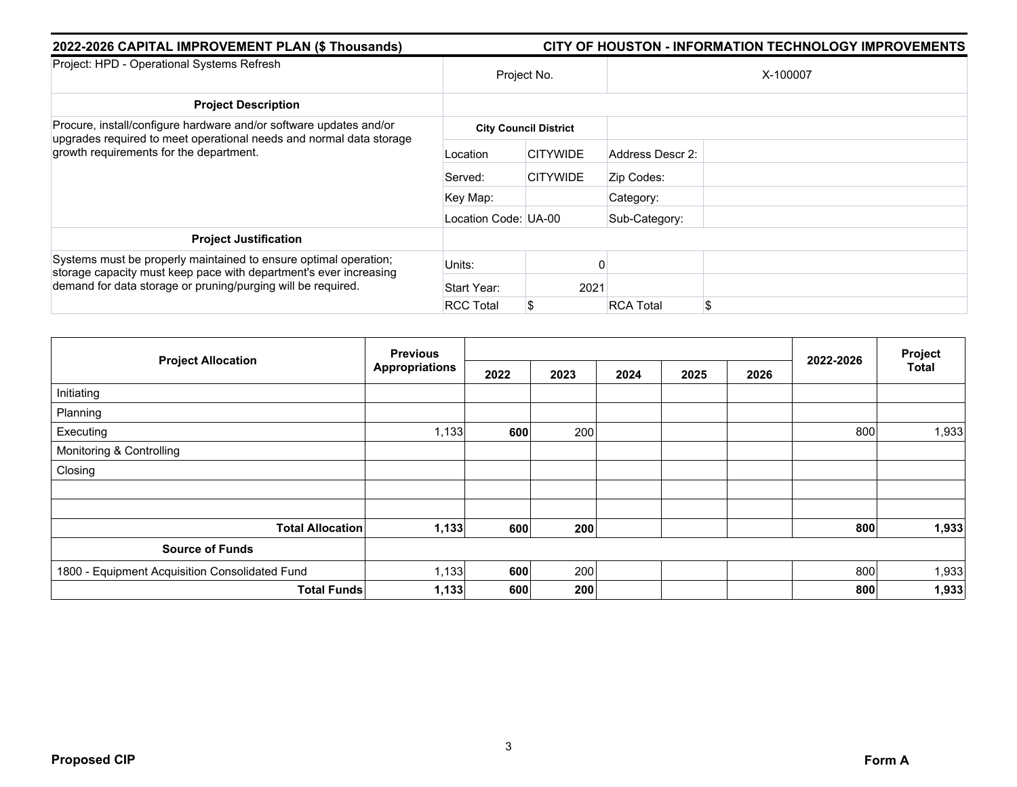| 2022-2026 CAPITAL IMPROVEMENT PLAN (\$ Thousands)                                                                                     | <b>CITY OF HOUSTON - INFORMATION TECHNOLOGY IMPROVEMENTS</b> |                              |                  |     |  |  |  |  |
|---------------------------------------------------------------------------------------------------------------------------------------|--------------------------------------------------------------|------------------------------|------------------|-----|--|--|--|--|
| Project: HPD - Operational Systems Refresh                                                                                            |                                                              | Project No.                  | X-100007         |     |  |  |  |  |
| <b>Project Description</b>                                                                                                            |                                                              |                              |                  |     |  |  |  |  |
| Procure, install/configure hardware and/or software updates and/or                                                                    |                                                              | <b>City Council District</b> |                  |     |  |  |  |  |
| upgrades required to meet operational needs and normal data storage<br>growth requirements for the department.                        | Location                                                     | <b>CITYWIDE</b>              | Address Descr 2: |     |  |  |  |  |
|                                                                                                                                       | Served:                                                      | <b>CITYWIDE</b>              | Zip Codes:       |     |  |  |  |  |
|                                                                                                                                       | Key Map:                                                     |                              | Category:        |     |  |  |  |  |
|                                                                                                                                       | Location Code: UA-00                                         |                              | Sub-Category:    |     |  |  |  |  |
| <b>Project Justification</b>                                                                                                          |                                                              |                              |                  |     |  |  |  |  |
| Systems must be properly maintained to ensure optimal operation;<br>storage capacity must keep pace with department's ever increasing | Units:                                                       |                              |                  |     |  |  |  |  |
| demand for data storage or pruning/purging will be required.                                                                          | Start Year:                                                  | 2021                         |                  |     |  |  |  |  |
|                                                                                                                                       | <b>RCC Total</b>                                             | \$                           | <b>RCA Total</b> | \$. |  |  |  |  |

|                                                | <b>Previous</b>       |      |      |      |      |      |           | Project<br><b>Total</b> |
|------------------------------------------------|-----------------------|------|------|------|------|------|-----------|-------------------------|
| <b>Project Allocation</b>                      | <b>Appropriations</b> | 2022 | 2023 | 2024 | 2025 | 2026 | 2022-2026 |                         |
| Initiating                                     |                       |      |      |      |      |      |           |                         |
| Planning                                       |                       |      |      |      |      |      |           |                         |
| Executing                                      | 1,133                 | 600  | 200  |      |      |      | 800       | 1,933                   |
| Monitoring & Controlling                       |                       |      |      |      |      |      |           |                         |
| Closing                                        |                       |      |      |      |      |      |           |                         |
|                                                |                       |      |      |      |      |      |           |                         |
|                                                |                       |      |      |      |      |      |           |                         |
| <b>Total Allocation</b>                        | 1,133                 | 600  | 200  |      |      |      | 800       | 1,933                   |
| <b>Source of Funds</b>                         |                       |      |      |      |      |      |           |                         |
| 1800 - Equipment Acquisition Consolidated Fund | 1,133                 | 600  | 200  |      |      |      | 800       | 1,933                   |
| <b>Total Funds</b>                             | 1,133                 | 600  | 200  |      |      |      | 800       | 1,933                   |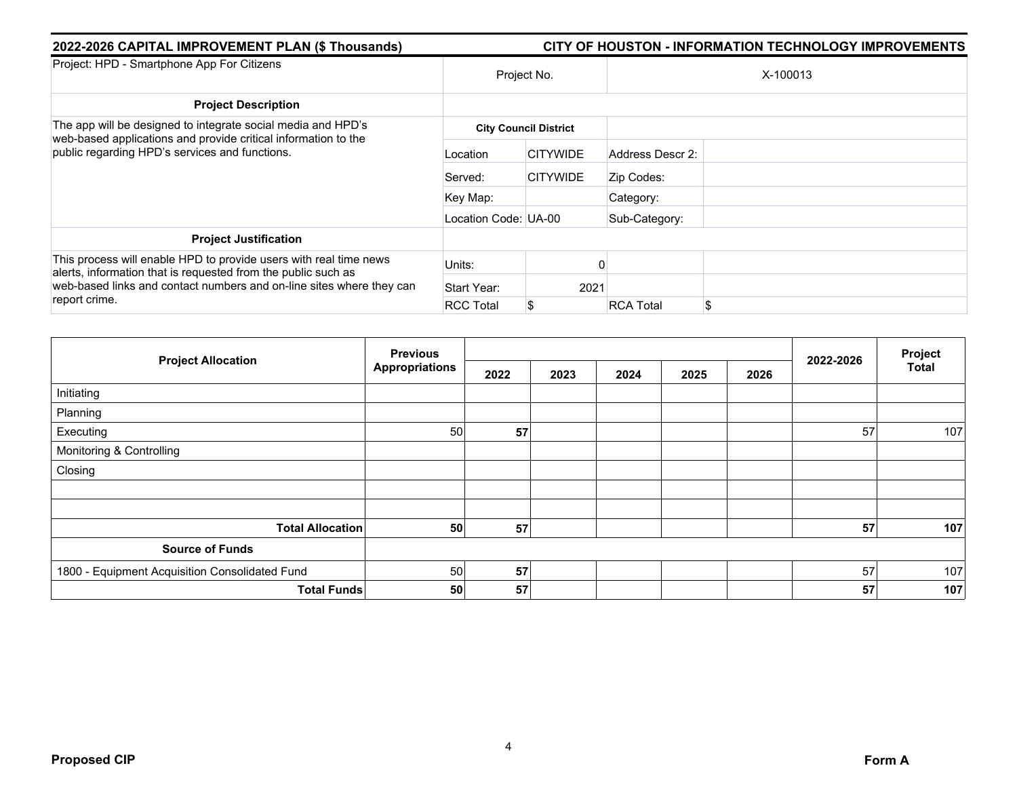| 2022-2026 CAPITAL IMPROVEMENT PLAN (\$ Thousands)                                                                                                                                                          | CITY OF HOUSTON - INFORMATION TECHNOLOGY IMPROVEMENTS |                              |                  |          |  |  |  |
|------------------------------------------------------------------------------------------------------------------------------------------------------------------------------------------------------------|-------------------------------------------------------|------------------------------|------------------|----------|--|--|--|
| Project: HPD - Smartphone App For Citizens                                                                                                                                                                 |                                                       | Project No.                  |                  | X-100013 |  |  |  |
| <b>Project Description</b>                                                                                                                                                                                 |                                                       |                              |                  |          |  |  |  |
| The app will be designed to integrate social media and HPD's                                                                                                                                               |                                                       | <b>City Council District</b> |                  |          |  |  |  |
| web-based applications and provide critical information to the<br>public regarding HPD's services and functions.                                                                                           | Location                                              | <b>CITYWIDE</b>              | Address Descr 2: |          |  |  |  |
|                                                                                                                                                                                                            | Served:                                               | <b>CITYWIDE</b>              | Zip Codes:       |          |  |  |  |
|                                                                                                                                                                                                            | Key Map:                                              |                              | Category:        |          |  |  |  |
|                                                                                                                                                                                                            | Location Code: UA-00                                  |                              | Sub-Category:    |          |  |  |  |
| <b>Project Justification</b>                                                                                                                                                                               |                                                       |                              |                  |          |  |  |  |
| This process will enable HPD to provide users with real time news<br>alerts, information that is requested from the public such as<br>web-based links and contact numbers and on-line sites where they can | Units:                                                |                              |                  |          |  |  |  |
|                                                                                                                                                                                                            | Start Year:                                           | 2021                         |                  |          |  |  |  |
| report crime.                                                                                                                                                                                              | <b>RCC Total</b>                                      | S                            | <b>RCA Total</b> | \$       |  |  |  |

|                                                | <b>Previous</b>       |      |      |      |      |      |           | Project      |
|------------------------------------------------|-----------------------|------|------|------|------|------|-----------|--------------|
| <b>Project Allocation</b>                      | <b>Appropriations</b> | 2022 | 2023 | 2024 | 2025 | 2026 | 2022-2026 | <b>Total</b> |
| Initiating                                     |                       |      |      |      |      |      |           |              |
| Planning                                       |                       |      |      |      |      |      |           |              |
| Executing                                      | 50                    | 57   |      |      |      |      | 57        | 107          |
| Monitoring & Controlling                       |                       |      |      |      |      |      |           |              |
| Closing                                        |                       |      |      |      |      |      |           |              |
|                                                |                       |      |      |      |      |      |           |              |
|                                                |                       |      |      |      |      |      |           |              |
| <b>Total Allocation</b>                        | 50                    | 57   |      |      |      |      | 57        | 107          |
| <b>Source of Funds</b>                         |                       |      |      |      |      |      |           |              |
| 1800 - Equipment Acquisition Consolidated Fund | 50                    | 57   |      |      |      |      | 57        | 107          |
| <b>Total Funds</b>                             | 50                    | 57   |      |      |      |      | 57        | 107          |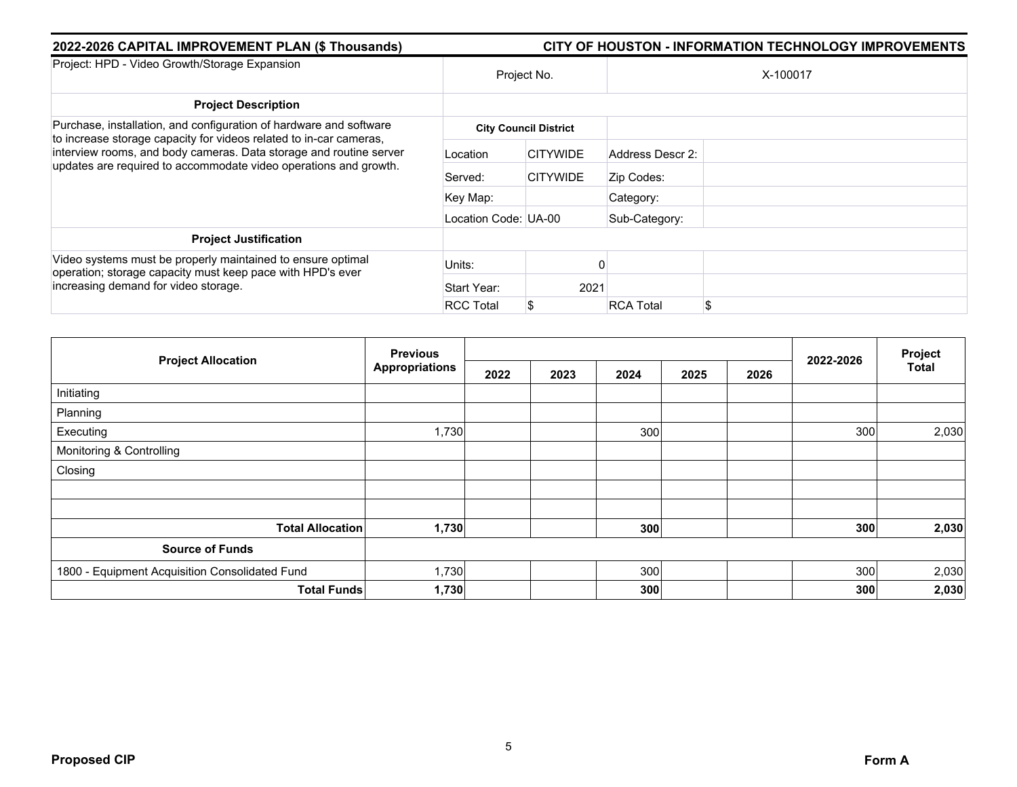| 2022-2026 CAPITAL IMPROVEMENT PLAN (\$ Thousands)                                                                                        |                      |                              |                  | <b>CITY OF HOUSTON - INFORMATION TECHNOLOGY IMPROVEMENTS</b> |
|------------------------------------------------------------------------------------------------------------------------------------------|----------------------|------------------------------|------------------|--------------------------------------------------------------|
| Project: HPD - Video Growth/Storage Expansion                                                                                            |                      | Project No.                  |                  | X-100017                                                     |
| <b>Project Description</b>                                                                                                               |                      |                              |                  |                                                              |
| Purchase, installation, and configuration of hardware and software                                                                       |                      | <b>City Council District</b> |                  |                                                              |
| to increase storage capacity for videos related to in-car cameras,<br>interview rooms, and body cameras. Data storage and routine server | Location             | <b>CITYWIDE</b>              | Address Descr 2: |                                                              |
| updates are required to accommodate video operations and growth.                                                                         | Served:              | <b>CITYWIDE</b>              | Zip Codes:       |                                                              |
|                                                                                                                                          | Key Map:             |                              | Category:        |                                                              |
|                                                                                                                                          | Location Code: UA-00 |                              | Sub-Category:    |                                                              |
| <b>Project Justification</b>                                                                                                             |                      |                              |                  |                                                              |
| Video systems must be properly maintained to ensure optimal<br>operation; storage capacity must keep pace with HPD's ever                | Units:               |                              |                  |                                                              |
| increasing demand for video storage.                                                                                                     | Start Year:          | 2021                         |                  |                                                              |
|                                                                                                                                          | <b>RCC Total</b>     | \$                           | <b>RCA Total</b> | £.                                                           |

|                                                | <b>Previous</b>       |      |      |      |      |      |           | Project      |
|------------------------------------------------|-----------------------|------|------|------|------|------|-----------|--------------|
| <b>Project Allocation</b>                      | <b>Appropriations</b> | 2022 | 2023 | 2024 | 2025 | 2026 | 2022-2026 | <b>Total</b> |
| Initiating                                     |                       |      |      |      |      |      |           |              |
| Planning                                       |                       |      |      |      |      |      |           |              |
| Executing                                      | 1,730                 |      |      | 300  |      |      | 300       | 2,030        |
| Monitoring & Controlling                       |                       |      |      |      |      |      |           |              |
| Closing                                        |                       |      |      |      |      |      |           |              |
|                                                |                       |      |      |      |      |      |           |              |
|                                                |                       |      |      |      |      |      |           |              |
| <b>Total Allocation</b>                        | 1,730                 |      |      | 300  |      |      | 300       | 2,030        |
| <b>Source of Funds</b>                         |                       |      |      |      |      |      |           |              |
| 1800 - Equipment Acquisition Consolidated Fund | 1,730                 |      |      | 300  |      |      | 300       | 2,030        |
| <b>Total Funds</b>                             | 1,730                 |      |      | 300  |      |      | 300       | 2,030        |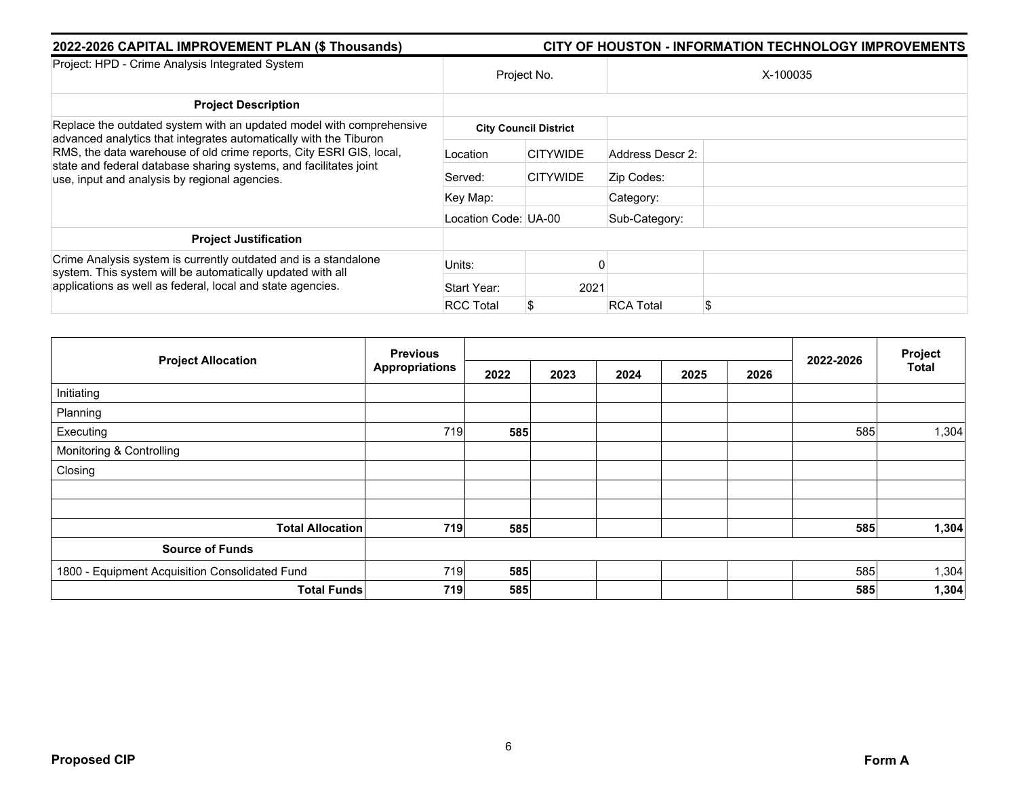| 2022-2026 CAPITAL IMPROVEMENT PLAN (\$ Thousands)                                                                                         | <b>CITY OF HOUSTON - INFORMATION TECHNOLOGY IMPROVEMENTS</b> |                              |                       |  |  |  |  |
|-------------------------------------------------------------------------------------------------------------------------------------------|--------------------------------------------------------------|------------------------------|-----------------------|--|--|--|--|
| Project: HPD - Crime Analysis Integrated System                                                                                           | Project No.                                                  |                              | X-100035              |  |  |  |  |
| <b>Project Description</b>                                                                                                                |                                                              |                              |                       |  |  |  |  |
| Replace the outdated system with an updated model with comprehensive<br>advanced analytics that integrates automatically with the Tiburon |                                                              | <b>City Council District</b> |                       |  |  |  |  |
| RMS, the data warehouse of old crime reports, City ESRI GIS, local,                                                                       | Location                                                     | <b>CITYWIDE</b>              | Address Descr 2:      |  |  |  |  |
| state and federal database sharing systems, and facilitates joint<br>use, input and analysis by regional agencies.                        | Served:                                                      | <b>CITYWIDE</b>              | Zip Codes:            |  |  |  |  |
|                                                                                                                                           | Key Map:                                                     |                              | Category:             |  |  |  |  |
|                                                                                                                                           | Location Code: UA-00                                         |                              | Sub-Category:         |  |  |  |  |
| <b>Project Justification</b>                                                                                                              |                                                              |                              |                       |  |  |  |  |
| Crime Analysis system is currently outdated and is a standalone<br>system. This system will be automatically updated with all             | Units:                                                       |                              |                       |  |  |  |  |
| applications as well as federal, local and state agencies.                                                                                | Start Year:                                                  | 2021                         |                       |  |  |  |  |
|                                                                                                                                           | <b>RCC Total</b>                                             | \$                           | <b>RCA Total</b><br>S |  |  |  |  |

|                                                | <b>Previous</b>       |      |      |      |      |      |           | Project      |
|------------------------------------------------|-----------------------|------|------|------|------|------|-----------|--------------|
| <b>Project Allocation</b>                      | <b>Appropriations</b> | 2022 | 2023 | 2024 | 2025 | 2026 | 2022-2026 | <b>Total</b> |
| Initiating                                     |                       |      |      |      |      |      |           |              |
| Planning                                       |                       |      |      |      |      |      |           |              |
| Executing                                      | 719                   | 585  |      |      |      |      | 585       | 1,304        |
| Monitoring & Controlling                       |                       |      |      |      |      |      |           |              |
| Closing                                        |                       |      |      |      |      |      |           |              |
|                                                |                       |      |      |      |      |      |           |              |
|                                                |                       |      |      |      |      |      |           |              |
| <b>Total Allocation</b>                        | 719                   | 585  |      |      |      |      | 585       | 1,304        |
| <b>Source of Funds</b>                         |                       |      |      |      |      |      |           |              |
| 1800 - Equipment Acquisition Consolidated Fund | 719                   | 585  |      |      |      |      | 585       | 1,304        |
| <b>Total Funds</b>                             | 719                   | 585  |      |      |      |      | 585       | 1,304        |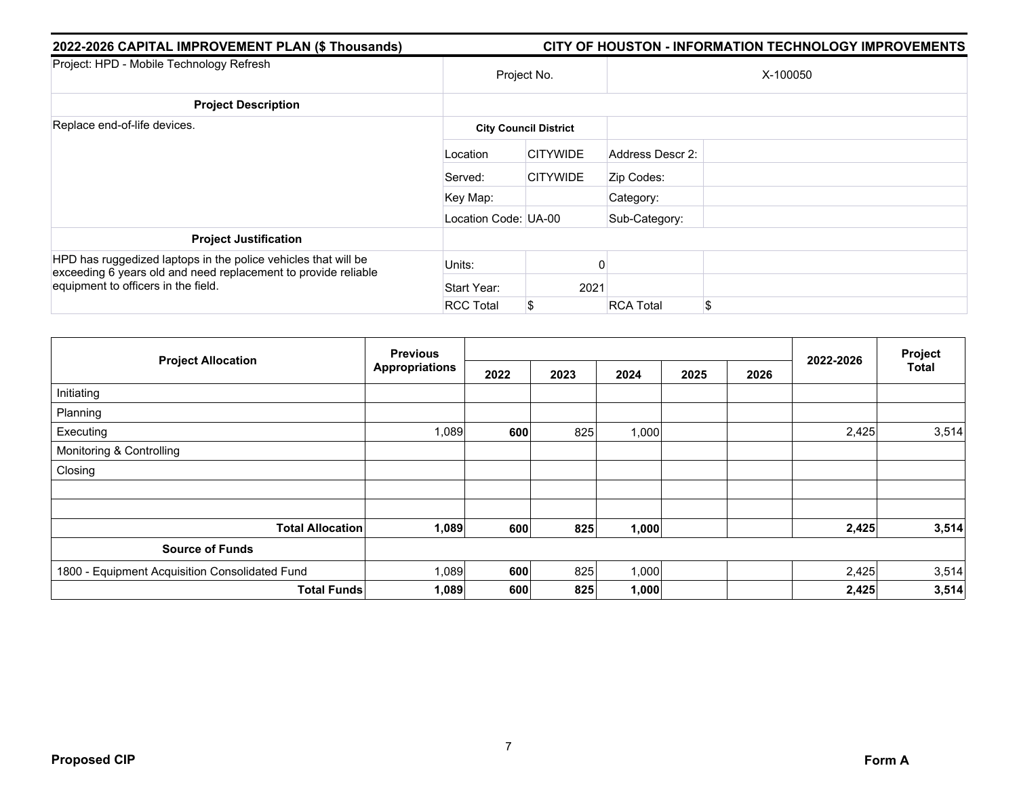| 2022-2026 CAPITAL IMPROVEMENT PLAN (\$ Thousands)                                                                                | CITY OF HOUSTON - INFORMATION TECHNOLOGY IMPROVEMENTS |                              |                  |          |  |  |  |  |
|----------------------------------------------------------------------------------------------------------------------------------|-------------------------------------------------------|------------------------------|------------------|----------|--|--|--|--|
| Project: HPD - Mobile Technology Refresh                                                                                         |                                                       | Project No.                  |                  | X-100050 |  |  |  |  |
| <b>Project Description</b>                                                                                                       |                                                       |                              |                  |          |  |  |  |  |
| Replace end-of-life devices.                                                                                                     |                                                       | <b>City Council District</b> |                  |          |  |  |  |  |
|                                                                                                                                  | Location                                              | <b>CITYWIDE</b>              | Address Descr 2: |          |  |  |  |  |
|                                                                                                                                  | Served:                                               | <b>CITYWIDE</b>              | Zip Codes:       |          |  |  |  |  |
|                                                                                                                                  | Key Map:                                              |                              | Category:        |          |  |  |  |  |
|                                                                                                                                  | Location Code: UA-00                                  |                              | Sub-Category:    |          |  |  |  |  |
| <b>Project Justification</b>                                                                                                     |                                                       |                              |                  |          |  |  |  |  |
| HPD has ruggedized laptops in the police vehicles that will be<br>exceeding 6 years old and need replacement to provide reliable | Units:                                                |                              |                  |          |  |  |  |  |
| equipment to officers in the field.                                                                                              | Start Year:                                           | 2021                         |                  |          |  |  |  |  |
|                                                                                                                                  | <b>RCC Total</b>                                      | \$                           | <b>RCA Total</b> | \$.      |  |  |  |  |

|                                                | <b>Previous</b>       |      |      |       |      |      |           | Project<br><b>Total</b> |
|------------------------------------------------|-----------------------|------|------|-------|------|------|-----------|-------------------------|
| <b>Project Allocation</b>                      | <b>Appropriations</b> | 2022 | 2023 | 2024  | 2025 | 2026 | 2022-2026 |                         |
| Initiating                                     |                       |      |      |       |      |      |           |                         |
| Planning                                       |                       |      |      |       |      |      |           |                         |
| Executing                                      | 1,089                 | 600  | 825  | 1,000 |      |      | 2,425     | 3,514                   |
| Monitoring & Controlling                       |                       |      |      |       |      |      |           |                         |
| Closing                                        |                       |      |      |       |      |      |           |                         |
|                                                |                       |      |      |       |      |      |           |                         |
| <b>Total Allocation</b>                        | 1,089                 | 600  | 825  | 1,000 |      |      | 2,425     | 3,514                   |
| <b>Source of Funds</b>                         |                       |      |      |       |      |      |           |                         |
| 1800 - Equipment Acquisition Consolidated Fund | 1,089                 | 600  | 825  | 1,000 |      |      | 2,425     | 3,514                   |
| <b>Total Funds</b>                             | 1,089                 | 600  | 825  | 1,000 |      |      | 2,425     | 3,514                   |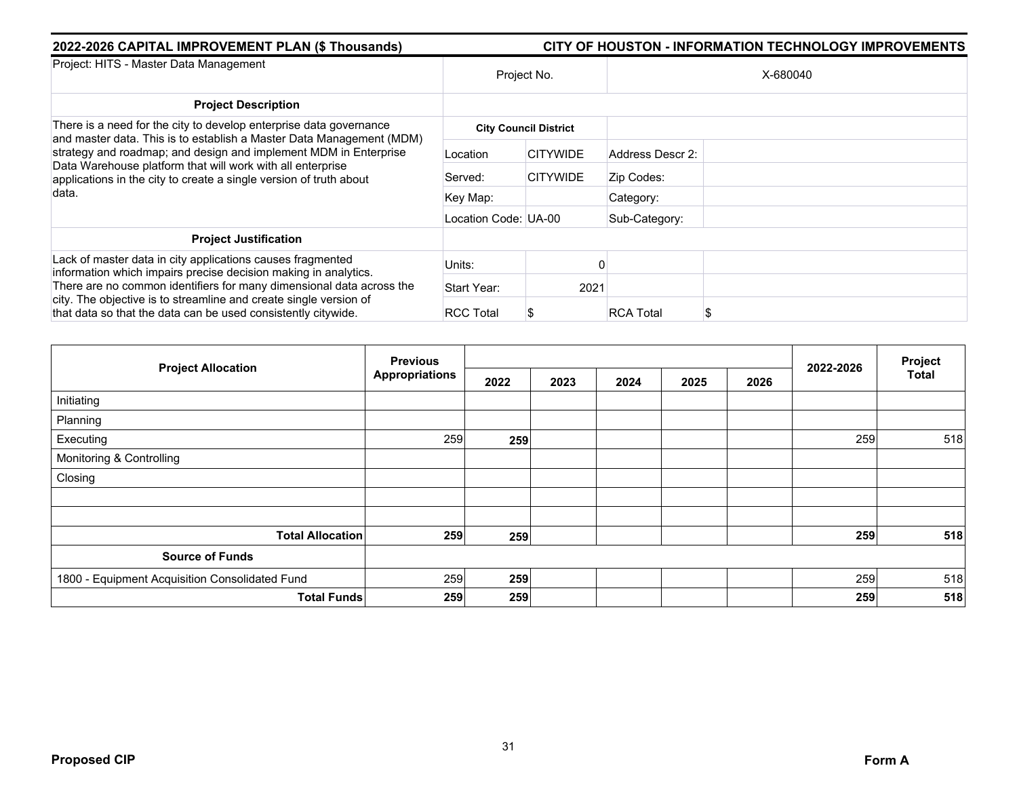| 2022-2026 CAPITAL IMPROVEMENT PLAN (\$ Thousands)                                                                                                                                                          | CITY OF HOUSTON - INFORMATION TECHNOLOGY IMPROVEMENTS |                              |                  |          |
|------------------------------------------------------------------------------------------------------------------------------------------------------------------------------------------------------------|-------------------------------------------------------|------------------------------|------------------|----------|
| Project: HITS - Master Data Management                                                                                                                                                                     | Project No.                                           |                              |                  | X-680040 |
| <b>Project Description</b>                                                                                                                                                                                 |                                                       |                              |                  |          |
| There is a need for the city to develop enterprise data governance<br>and master data. This is to establish a Master Data Management (MDM)                                                                 |                                                       | <b>City Council District</b> |                  |          |
| strategy and roadmap; and design and implement MDM in Enterprise<br>Data Warehouse platform that will work with all enterprise<br>applications in the city to create a single version of truth about       | Location                                              | <b>CITYWIDE</b>              | Address Descr 2: |          |
|                                                                                                                                                                                                            | Served:                                               | <b>CITYWIDE</b>              | Zip Codes:       |          |
| data.                                                                                                                                                                                                      | Key Map:                                              |                              | Category:        |          |
|                                                                                                                                                                                                            | Location Code: UA-00                                  |                              | Sub-Category:    |          |
| <b>Project Justification</b>                                                                                                                                                                               |                                                       |                              |                  |          |
| Lack of master data in city applications causes fragmented<br>information which impairs precise decision making in analytics.                                                                              | Units:                                                |                              |                  |          |
| There are no common identifiers for many dimensional data across the<br>city. The objective is to streamline and create single version of<br>that data so that the data can be used consistently citywide. | Start Year:                                           | 2021                         |                  |          |
|                                                                                                                                                                                                            | <b>RCC Total</b>                                      |                              | <b>RCA Total</b> |          |

|                                                | <b>Previous</b> |      |      |      | 2022-2026 | Project |     |              |
|------------------------------------------------|-----------------|------|------|------|-----------|---------|-----|--------------|
| <b>Project Allocation</b>                      | Appropriations  | 2022 | 2023 | 2024 | 2025      | 2026    |     | <b>Total</b> |
| Initiating                                     |                 |      |      |      |           |         |     |              |
| Planning                                       |                 |      |      |      |           |         |     |              |
| Executing                                      | 259             | 259  |      |      |           |         | 259 | 518          |
| Monitoring & Controlling                       |                 |      |      |      |           |         |     |              |
| Closing                                        |                 |      |      |      |           |         |     |              |
|                                                |                 |      |      |      |           |         |     |              |
|                                                |                 |      |      |      |           |         |     |              |
| <b>Total Allocation</b>                        | 259             | 259  |      |      |           |         | 259 | 518          |
| <b>Source of Funds</b>                         |                 |      |      |      |           |         |     |              |
| 1800 - Equipment Acquisition Consolidated Fund | 259             | 259  |      |      |           |         | 259 | 518          |
| <b>Total Funds</b>                             | 259             | 259  |      |      |           |         | 259 | 518          |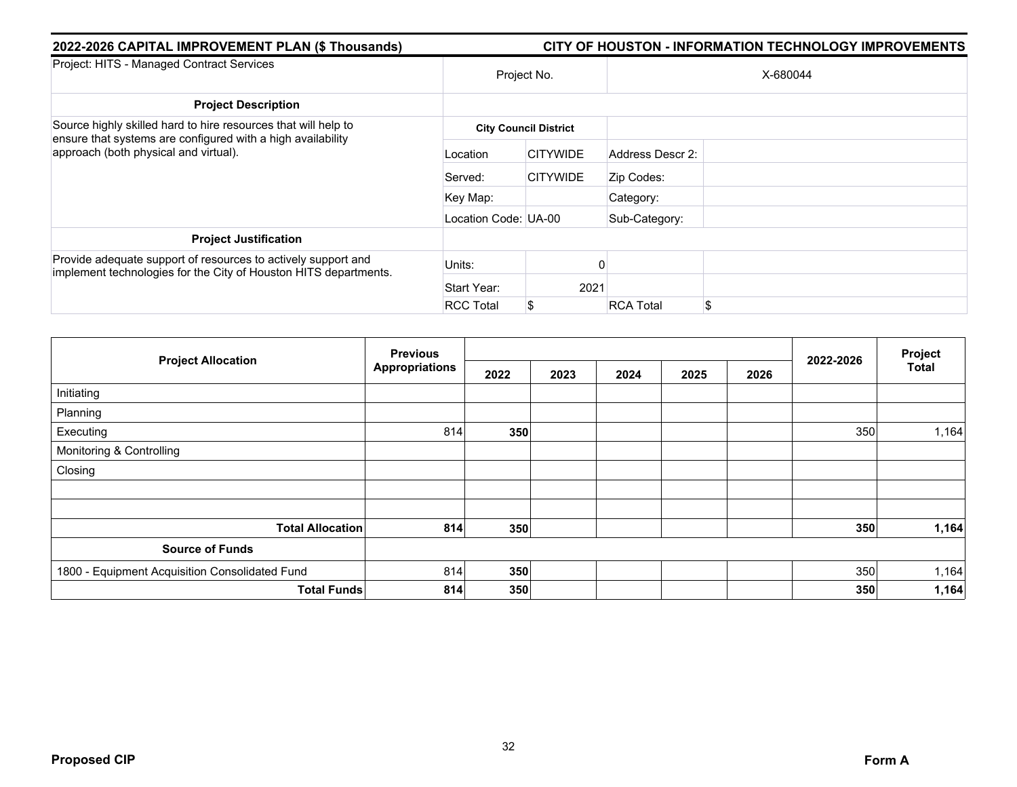| 2022-2026 CAPITAL IMPROVEMENT PLAN (\$ Thousands)                                                                                 | CITY OF HOUSTON - INFORMATION TECHNOLOGY IMPROVEMENTS |                              |                  |          |  |  |  |  |
|-----------------------------------------------------------------------------------------------------------------------------------|-------------------------------------------------------|------------------------------|------------------|----------|--|--|--|--|
| Project: HITS - Managed Contract Services                                                                                         | Project No.                                           |                              |                  | X-680044 |  |  |  |  |
| <b>Project Description</b>                                                                                                        |                                                       |                              |                  |          |  |  |  |  |
| Source highly skilled hard to hire resources that will help to                                                                    |                                                       | <b>City Council District</b> |                  |          |  |  |  |  |
| ensure that systems are configured with a high availability<br>approach (both physical and virtual).                              | Location                                              | <b>CITYWIDE</b>              | Address Descr 2: |          |  |  |  |  |
|                                                                                                                                   | Served:                                               | <b>CITYWIDE</b>              | Zip Codes:       |          |  |  |  |  |
|                                                                                                                                   | Key Map:                                              |                              | Category:        |          |  |  |  |  |
|                                                                                                                                   | Location Code: UA-00                                  |                              | Sub-Category:    |          |  |  |  |  |
| <b>Project Justification</b>                                                                                                      |                                                       |                              |                  |          |  |  |  |  |
| Provide adequate support of resources to actively support and<br>implement technologies for the City of Houston HITS departments. | Units:                                                |                              |                  |          |  |  |  |  |
|                                                                                                                                   | Start Year:                                           | 2021                         |                  |          |  |  |  |  |
|                                                                                                                                   | <b>RCC Total</b>                                      | \$                           | <b>RCA Total</b> | \$       |  |  |  |  |

| <b>Project Allocation</b>                      | <b>Previous</b>       |      |      |      |      |      | Project   |              |
|------------------------------------------------|-----------------------|------|------|------|------|------|-----------|--------------|
|                                                | <b>Appropriations</b> | 2022 | 2023 | 2024 | 2025 | 2026 | 2022-2026 | <b>Total</b> |
| Initiating                                     |                       |      |      |      |      |      |           |              |
| Planning                                       |                       |      |      |      |      |      |           |              |
| Executing                                      | 814                   | 350  |      |      |      |      | 350       | 1,164        |
| Monitoring & Controlling                       |                       |      |      |      |      |      |           |              |
| Closing                                        |                       |      |      |      |      |      |           |              |
|                                                |                       |      |      |      |      |      |           |              |
|                                                |                       |      |      |      |      |      |           |              |
| <b>Total Allocation</b>                        | 814                   | 350  |      |      |      |      | 350       | 1,164        |
| <b>Source of Funds</b>                         |                       |      |      |      |      |      |           |              |
| 1800 - Equipment Acquisition Consolidated Fund | 814                   | 350  |      |      |      |      | 350       | 1,164        |
| <b>Total Funds</b>                             | 814                   | 350  |      |      |      |      | 350       | 1,164        |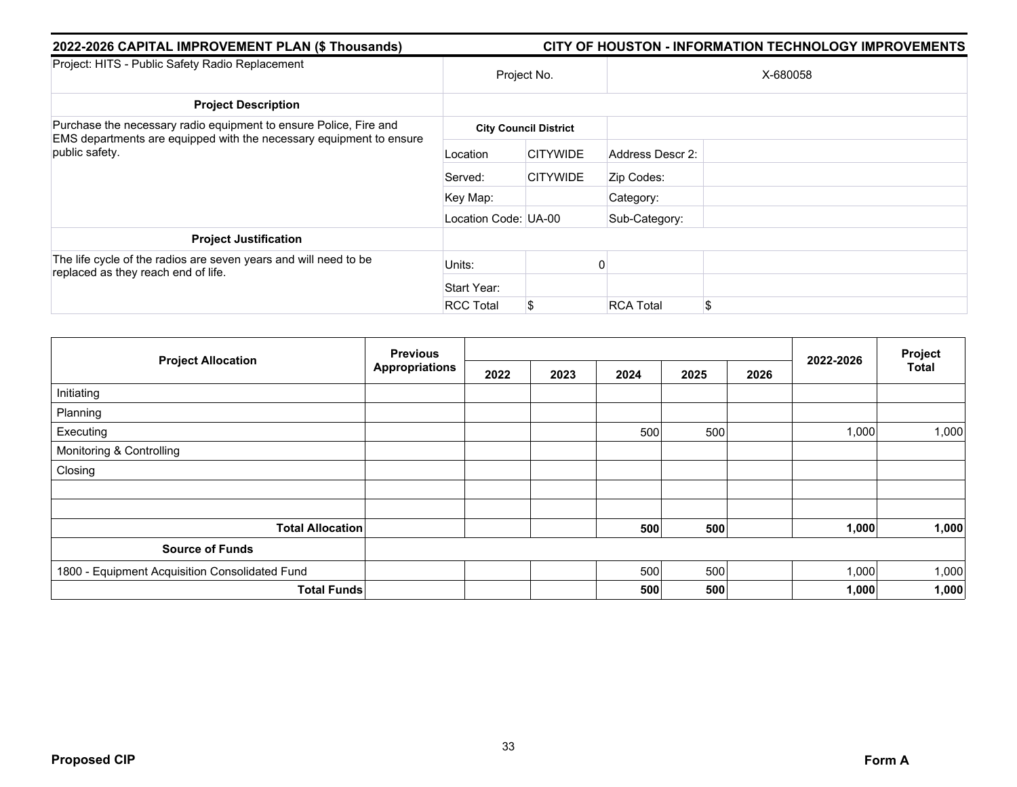| 2022-2026 CAPITAL IMPROVEMENT PLAN (\$ Thousands)                                                                                        | CITY OF HOUSTON - INFORMATION TECHNOLOGY IMPROVEMENTS |                              |                        |  |  |  |  |  |
|------------------------------------------------------------------------------------------------------------------------------------------|-------------------------------------------------------|------------------------------|------------------------|--|--|--|--|--|
| Project: HITS - Public Safety Radio Replacement                                                                                          | Project No.                                           |                              | X-680058               |  |  |  |  |  |
| <b>Project Description</b>                                                                                                               |                                                       |                              |                        |  |  |  |  |  |
| Purchase the necessary radio equipment to ensure Police, Fire and<br>EMS departments are equipped with the necessary equipment to ensure |                                                       | <b>City Council District</b> |                        |  |  |  |  |  |
| public safety.                                                                                                                           | Location                                              | <b>CITYWIDE</b>              | Address Descr 2:       |  |  |  |  |  |
|                                                                                                                                          | Served:                                               | <b>CITYWIDE</b>              | Zip Codes:             |  |  |  |  |  |
|                                                                                                                                          | Key Map:                                              |                              | Category:              |  |  |  |  |  |
|                                                                                                                                          | Location Code: UA-00                                  |                              | Sub-Category:          |  |  |  |  |  |
| <b>Project Justification</b>                                                                                                             |                                                       |                              |                        |  |  |  |  |  |
| The life cycle of the radios are seven years and will need to be<br>replaced as they reach end of life.                                  | Units:                                                |                              |                        |  |  |  |  |  |
|                                                                                                                                          | Start Year:                                           |                              |                        |  |  |  |  |  |
|                                                                                                                                          | <b>RCC Total</b>                                      | \$                           | <b>RCA Total</b><br>\$ |  |  |  |  |  |

| <b>Project Allocation</b>                      | <b>Previous</b>       |      |      |      |      |      | 2022-2026 | Project<br><b>Total</b> |
|------------------------------------------------|-----------------------|------|------|------|------|------|-----------|-------------------------|
|                                                | <b>Appropriations</b> | 2022 | 2023 | 2024 | 2025 | 2026 |           |                         |
| Initiating                                     |                       |      |      |      |      |      |           |                         |
| Planning                                       |                       |      |      |      |      |      |           |                         |
| Executing                                      |                       |      |      | 500  | 500  |      | 1,000     | 1,000                   |
| Monitoring & Controlling                       |                       |      |      |      |      |      |           |                         |
| Closing                                        |                       |      |      |      |      |      |           |                         |
|                                                |                       |      |      |      |      |      |           |                         |
|                                                |                       |      |      |      |      |      |           |                         |
| <b>Total Allocation</b>                        |                       |      |      | 500  | 500  |      | 1,000     | 1,000                   |
| <b>Source of Funds</b>                         |                       |      |      |      |      |      |           |                         |
| 1800 - Equipment Acquisition Consolidated Fund |                       |      |      | 500  | 500  |      | 1,000     | 1,000                   |
| <b>Total Funds</b>                             |                       |      |      | 500  | 500  |      | 1,000     | 1,000                   |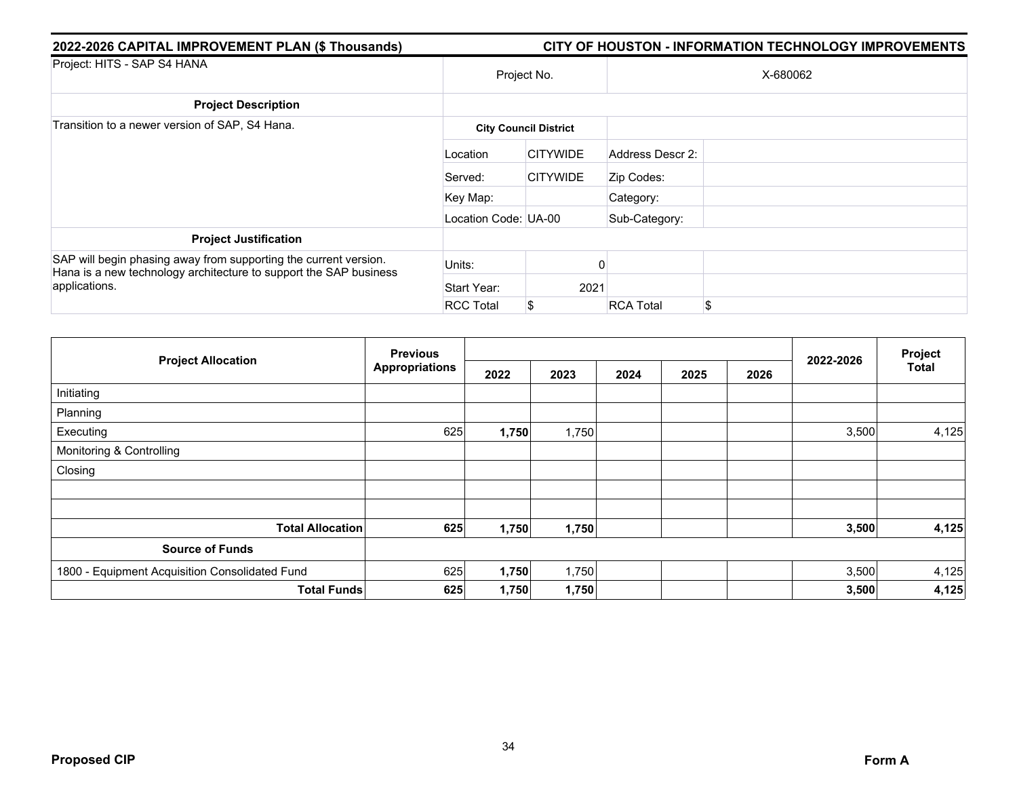| 2022-2026 CAPITAL IMPROVEMENT PLAN (\$ Thousands)                                                                                     | <b>CITY OF HOUSTON - INFORMATION TECHNOLOGY IMPROVEMENTS</b> |                              |                  |    |  |  |  |  |
|---------------------------------------------------------------------------------------------------------------------------------------|--------------------------------------------------------------|------------------------------|------------------|----|--|--|--|--|
| Project: HITS - SAP S4 HANA                                                                                                           | Project No.                                                  |                              | X-680062         |    |  |  |  |  |
| <b>Project Description</b>                                                                                                            |                                                              |                              |                  |    |  |  |  |  |
| Transition to a newer version of SAP, S4 Hana.                                                                                        |                                                              | <b>City Council District</b> |                  |    |  |  |  |  |
|                                                                                                                                       | Location                                                     | <b>CITYWIDE</b>              | Address Descr 2: |    |  |  |  |  |
|                                                                                                                                       | Served:                                                      | <b>CITYWIDE</b>              | Zip Codes:       |    |  |  |  |  |
|                                                                                                                                       | Key Map:                                                     |                              | Category:        |    |  |  |  |  |
|                                                                                                                                       | Location Code: UA-00                                         |                              | Sub-Category:    |    |  |  |  |  |
| <b>Project Justification</b>                                                                                                          |                                                              |                              |                  |    |  |  |  |  |
| SAP will begin phasing away from supporting the current version.<br>Hana is a new technology architecture to support the SAP business | Units:                                                       |                              |                  |    |  |  |  |  |
| applications.                                                                                                                         | Start Year:                                                  | 2021                         |                  |    |  |  |  |  |
|                                                                                                                                       | <b>RCC Total</b>                                             | \$                           | <b>RCA Total</b> | \$ |  |  |  |  |

|                                                | <b>Previous</b>       |       |       |      |      | Project |           |              |
|------------------------------------------------|-----------------------|-------|-------|------|------|---------|-----------|--------------|
| <b>Project Allocation</b>                      | <b>Appropriations</b> | 2022  | 2023  | 2024 | 2025 | 2026    | 2022-2026 | <b>Total</b> |
| Initiating                                     |                       |       |       |      |      |         |           |              |
| Planning                                       |                       |       |       |      |      |         |           |              |
| Executing                                      | 625                   | 1,750 | 1,750 |      |      |         | 3,500     | 4,125        |
| Monitoring & Controlling                       |                       |       |       |      |      |         |           |              |
| Closing                                        |                       |       |       |      |      |         |           |              |
|                                                |                       |       |       |      |      |         |           |              |
| <b>Total Allocation</b>                        | 625                   | 1,750 | 1,750 |      |      |         | 3,500     | 4,125        |
| <b>Source of Funds</b>                         |                       |       |       |      |      |         |           |              |
| 1800 - Equipment Acquisition Consolidated Fund | 625                   | 1,750 | 1,750 |      |      |         | 3,500     | 4,125        |
| <b>Total Funds</b>                             | 625                   | 1,750 | 1,750 |      |      |         | 3,500     | 4,125        |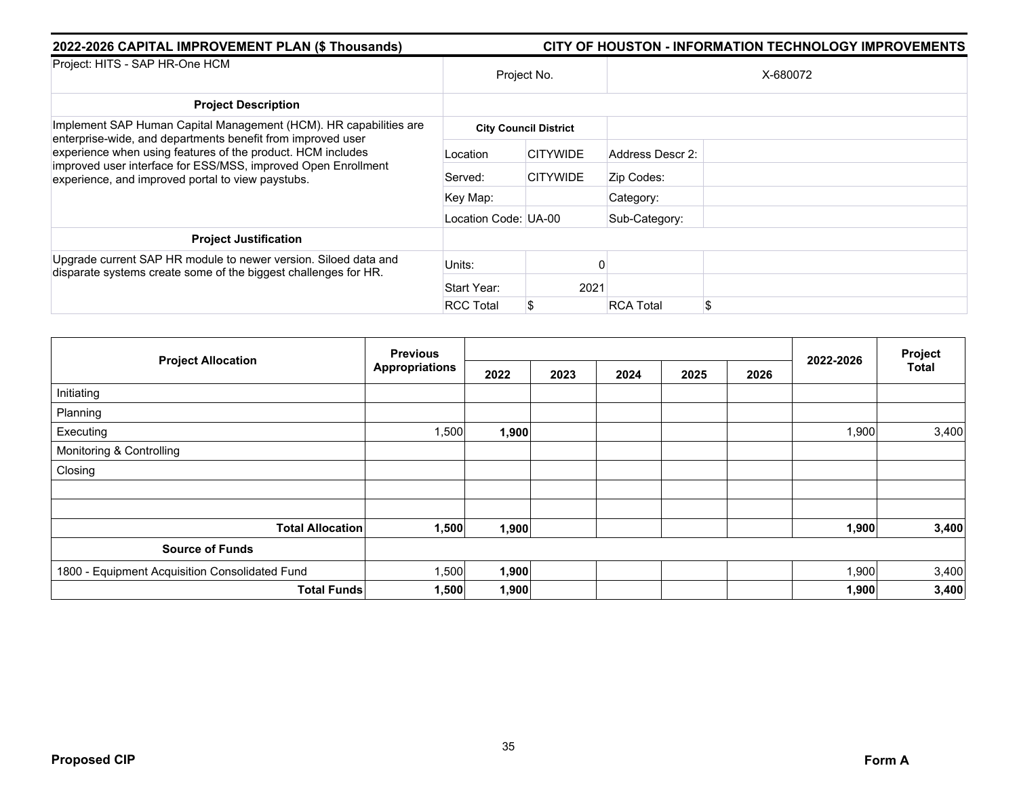| 2022-2026 CAPITAL IMPROVEMENT PLAN (\$ Thousands)                                                                                                                                 | <b>CITY OF HOUSTON - INFORMATION TECHNOLOGY IMPROVEMENTS</b> |                 |                  |          |  |  |  |
|-----------------------------------------------------------------------------------------------------------------------------------------------------------------------------------|--------------------------------------------------------------|-----------------|------------------|----------|--|--|--|
| Project: HITS - SAP HR-One HCM                                                                                                                                                    |                                                              | Project No.     |                  | X-680072 |  |  |  |
| <b>Project Description</b>                                                                                                                                                        |                                                              |                 |                  |          |  |  |  |
| Implement SAP Human Capital Management (HCM). HR capabilities are<br>enterprise-wide, and departments benefit from improved user                                                  | <b>City Council District</b>                                 |                 |                  |          |  |  |  |
| experience when using features of the product. HCM includes<br>improved user interface for ESS/MSS, improved Open Enrollment<br>experience, and improved portal to view paystubs. | Location                                                     | <b>CITYWIDE</b> | Address Descr 2: |          |  |  |  |
|                                                                                                                                                                                   | Served:                                                      | <b>CITYWIDE</b> | Zip Codes:       |          |  |  |  |
|                                                                                                                                                                                   | Key Map:                                                     |                 | Category:        |          |  |  |  |
|                                                                                                                                                                                   | Location Code: UA-00                                         |                 | Sub-Category:    |          |  |  |  |
| <b>Project Justification</b>                                                                                                                                                      |                                                              |                 |                  |          |  |  |  |
| Upgrade current SAP HR module to newer version. Siloed data and<br>disparate systems create some of the biggest challenges for HR.                                                | Units:                                                       |                 |                  |          |  |  |  |
|                                                                                                                                                                                   | Start Year:                                                  | 2021            |                  |          |  |  |  |
|                                                                                                                                                                                   | <b>RCC Total</b>                                             | S               | <b>RCA Total</b> |          |  |  |  |

|                                                | <b>Previous</b>       |       |      |      |      |      |           | Project      |
|------------------------------------------------|-----------------------|-------|------|------|------|------|-----------|--------------|
| <b>Project Allocation</b>                      | <b>Appropriations</b> | 2022  | 2023 | 2024 | 2025 | 2026 | 2022-2026 | <b>Total</b> |
| Initiating                                     |                       |       |      |      |      |      |           |              |
| Planning                                       |                       |       |      |      |      |      |           |              |
| Executing                                      | 1,500                 | 1,900 |      |      |      |      | 1,900     | 3,400        |
| Monitoring & Controlling                       |                       |       |      |      |      |      |           |              |
| Closing                                        |                       |       |      |      |      |      |           |              |
|                                                |                       |       |      |      |      |      |           |              |
| <b>Total Allocation</b>                        | 1,500                 | 1,900 |      |      |      |      | 1,900     | 3,400        |
| <b>Source of Funds</b>                         |                       |       |      |      |      |      |           |              |
| 1800 - Equipment Acquisition Consolidated Fund | 1,500                 | 1,900 |      |      |      |      | 1,900     | 3,400        |
| <b>Total Funds</b>                             | 1,500                 | 1,900 |      |      |      |      | 1,900     | 3,400        |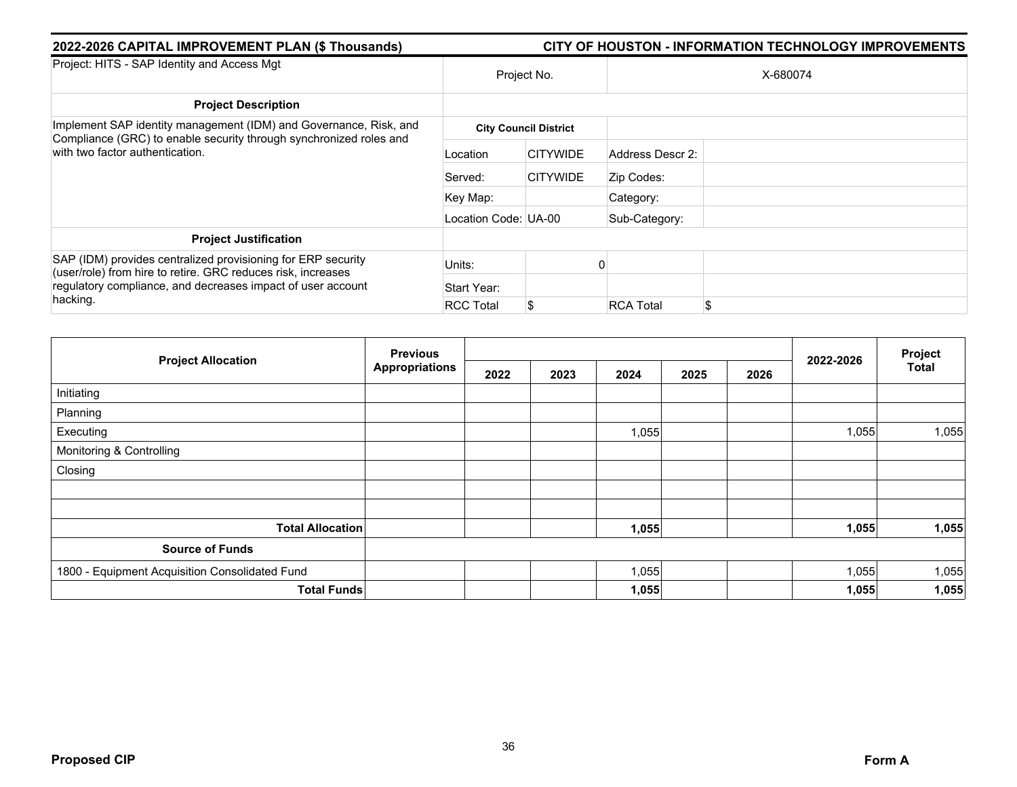| 2022-2026 CAPITAL IMPROVEMENT PLAN (\$ Thousands)                                                                            | <b>CITY OF HOUSTON - INFORMATION TECHNOLOGY IMPROVEMENTS</b> |                              |                  |          |  |  |  |
|------------------------------------------------------------------------------------------------------------------------------|--------------------------------------------------------------|------------------------------|------------------|----------|--|--|--|
| Project: HITS - SAP Identity and Access Mgt                                                                                  |                                                              | Project No.                  |                  | X-680074 |  |  |  |
| <b>Project Description</b>                                                                                                   |                                                              |                              |                  |          |  |  |  |
| Implement SAP identity management (IDM) and Governance, Risk, and                                                            |                                                              | <b>City Council District</b> |                  |          |  |  |  |
| Compliance (GRC) to enable security through synchronized roles and<br>with two factor authentication.                        | Location                                                     | <b>CITYWIDE</b>              | Address Descr 2: |          |  |  |  |
|                                                                                                                              | Served:                                                      | <b>CITYWIDE</b>              | Zip Codes:       |          |  |  |  |
|                                                                                                                              | Key Map:                                                     |                              | Category:        |          |  |  |  |
|                                                                                                                              | Location Code: UA-00                                         |                              | Sub-Category:    |          |  |  |  |
| <b>Project Justification</b>                                                                                                 |                                                              |                              |                  |          |  |  |  |
| SAP (IDM) provides centralized provisioning for ERP security<br>(user/role) from hire to retire. GRC reduces risk, increases | Units:                                                       |                              |                  |          |  |  |  |
| regulatory compliance, and decreases impact of user account<br>hacking.                                                      | Start Year:                                                  |                              |                  |          |  |  |  |
|                                                                                                                              | <b>RCC Total</b>                                             | \$                           | <b>RCA Total</b> | \$       |  |  |  |

|                                                | <b>Previous</b>       |      |      |       |      | Project |           |              |
|------------------------------------------------|-----------------------|------|------|-------|------|---------|-----------|--------------|
| <b>Project Allocation</b>                      | <b>Appropriations</b> | 2022 | 2023 | 2024  | 2025 | 2026    | 2022-2026 | <b>Total</b> |
| Initiating                                     |                       |      |      |       |      |         |           |              |
| Planning                                       |                       |      |      |       |      |         |           |              |
| Executing                                      |                       |      |      | 1,055 |      |         | 1,055     | 1,055        |
| Monitoring & Controlling                       |                       |      |      |       |      |         |           |              |
| Closing                                        |                       |      |      |       |      |         |           |              |
|                                                |                       |      |      |       |      |         |           |              |
|                                                |                       |      |      |       |      |         |           |              |
| <b>Total Allocation</b>                        |                       |      |      | 1,055 |      |         | 1,055     | 1,055        |
| <b>Source of Funds</b>                         |                       |      |      |       |      |         |           |              |
| 1800 - Equipment Acquisition Consolidated Fund |                       |      |      | 1,055 |      |         | 1,055     | 1,055        |
|                                                | <b>Total Funds</b>    |      |      | 1,055 |      |         | 1,055     | 1,055        |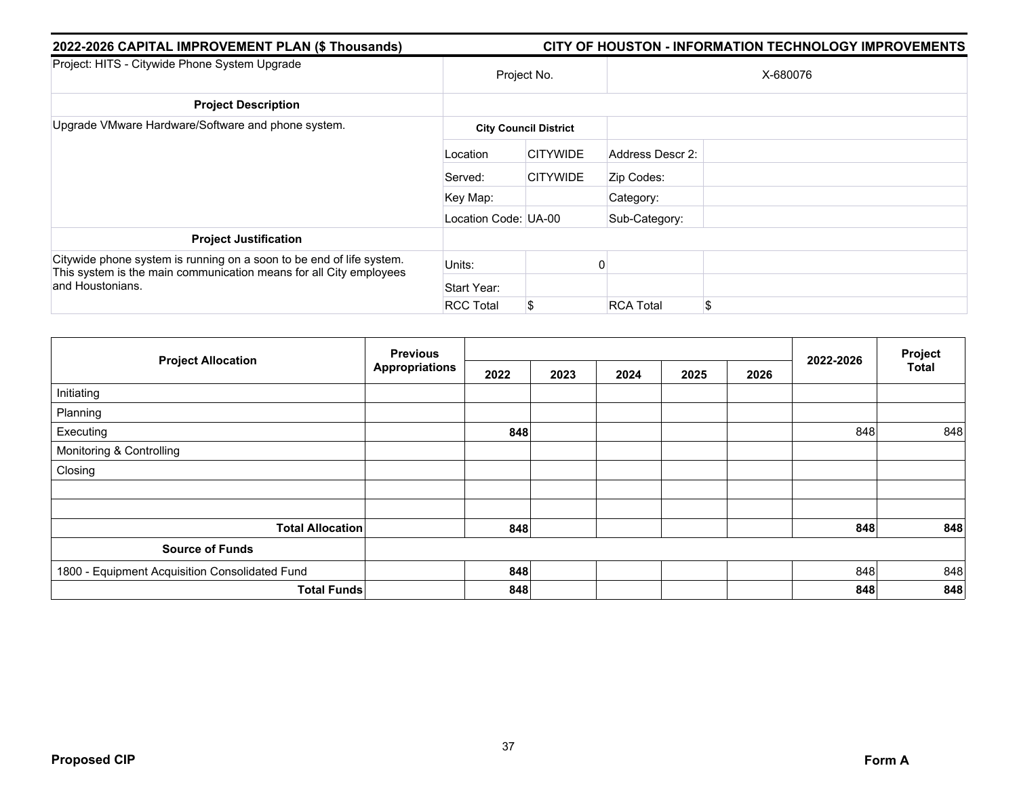| 2022-2026 CAPITAL IMPROVEMENT PLAN (\$ Thousands)                                                                                                              | CITY OF HOUSTON - INFORMATION TECHNOLOGY IMPROVEMENTS |                              |                  |          |  |  |  |  |  |
|----------------------------------------------------------------------------------------------------------------------------------------------------------------|-------------------------------------------------------|------------------------------|------------------|----------|--|--|--|--|--|
| Project: HITS - Citywide Phone System Upgrade                                                                                                                  | Project No.                                           |                              |                  | X-680076 |  |  |  |  |  |
| <b>Project Description</b>                                                                                                                                     |                                                       |                              |                  |          |  |  |  |  |  |
| Upgrade VMware Hardware/Software and phone system.                                                                                                             |                                                       | <b>City Council District</b> |                  |          |  |  |  |  |  |
|                                                                                                                                                                | Location                                              | <b>CITYWIDE</b>              | Address Descr 2: |          |  |  |  |  |  |
|                                                                                                                                                                | Served:                                               | <b>CITYWIDE</b>              | Zip Codes:       |          |  |  |  |  |  |
|                                                                                                                                                                | Key Map:                                              |                              | Category:        |          |  |  |  |  |  |
|                                                                                                                                                                | Location Code: UA-00                                  |                              | Sub-Category:    |          |  |  |  |  |  |
| <b>Project Justification</b>                                                                                                                                   |                                                       |                              |                  |          |  |  |  |  |  |
| Citywide phone system is running on a soon to be end of life system.<br>This system is the main communication means for all City employees<br>and Houstonians. | Units:                                                |                              |                  |          |  |  |  |  |  |
|                                                                                                                                                                | Start Year:                                           |                              |                  |          |  |  |  |  |  |
|                                                                                                                                                                | <b>RCC Total</b>                                      | \$                           | <b>RCA Total</b> | \$       |  |  |  |  |  |

|                                                | <b>Previous</b>       |      |      |      | Project |      |           |              |
|------------------------------------------------|-----------------------|------|------|------|---------|------|-----------|--------------|
| <b>Project Allocation</b>                      | <b>Appropriations</b> | 2022 | 2023 | 2024 | 2025    | 2026 | 2022-2026 | <b>Total</b> |
| Initiating                                     |                       |      |      |      |         |      |           |              |
| Planning                                       |                       |      |      |      |         |      |           |              |
| Executing                                      |                       | 848  |      |      |         |      | 848       | 848          |
| Monitoring & Controlling                       |                       |      |      |      |         |      |           |              |
| Closing                                        |                       |      |      |      |         |      |           |              |
|                                                |                       |      |      |      |         |      |           |              |
|                                                |                       |      |      |      |         |      |           |              |
| <b>Total Allocation</b>                        |                       | 848  |      |      |         |      | 848       | 848          |
| <b>Source of Funds</b>                         |                       |      |      |      |         |      |           |              |
| 1800 - Equipment Acquisition Consolidated Fund |                       | 848  |      |      |         |      | 848       | 848          |
| <b>Total Funds</b>                             |                       | 848  |      |      |         |      | 848       | 848          |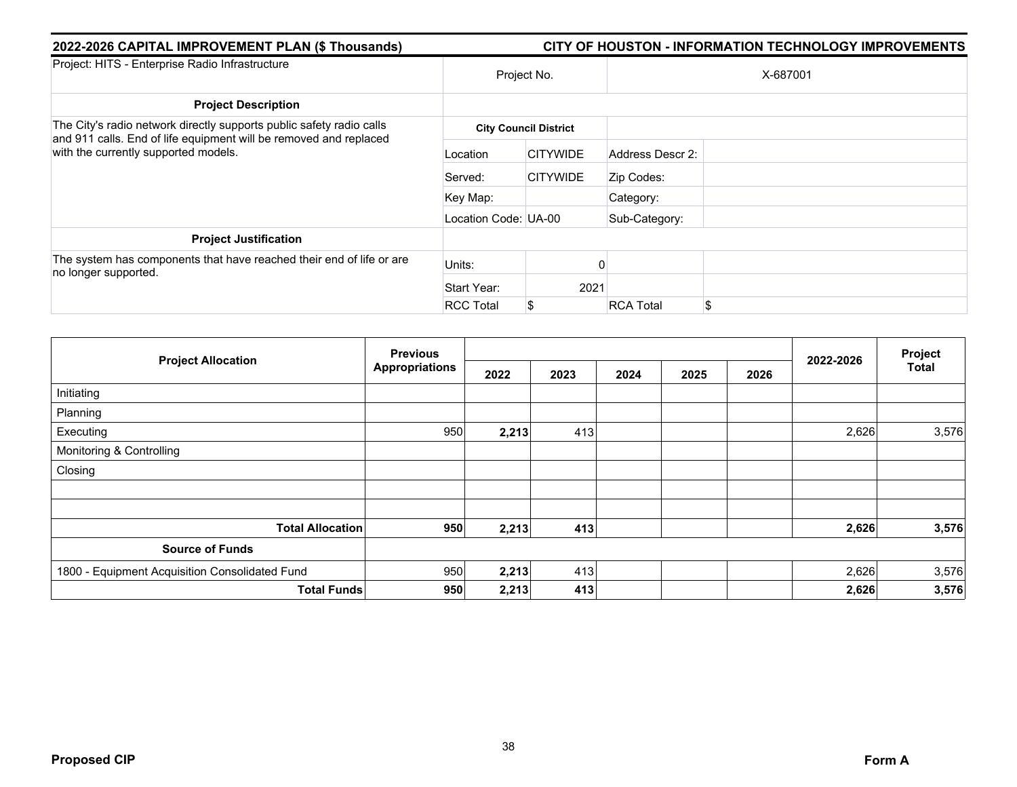| 2022-2026 CAPITAL IMPROVEMENT PLAN (\$ Thousands)                                                                                                                                 | CITY OF HOUSTON - INFORMATION TECHNOLOGY IMPROVEMENTS |                              |                  |          |  |  |  |  |
|-----------------------------------------------------------------------------------------------------------------------------------------------------------------------------------|-------------------------------------------------------|------------------------------|------------------|----------|--|--|--|--|
| Project: HITS - Enterprise Radio Infrastructure                                                                                                                                   |                                                       | Project No.                  |                  | X-687001 |  |  |  |  |
| <b>Project Description</b>                                                                                                                                                        |                                                       |                              |                  |          |  |  |  |  |
| The City's radio network directly supports public safety radio calls<br>and 911 calls. End of life equipment will be removed and replaced<br>with the currently supported models. |                                                       | <b>City Council District</b> |                  |          |  |  |  |  |
|                                                                                                                                                                                   | Location                                              | <b>CITYWIDE</b>              | Address Descr 2: |          |  |  |  |  |
|                                                                                                                                                                                   | Served:                                               | <b>CITYWIDE</b>              | Zip Codes:       |          |  |  |  |  |
|                                                                                                                                                                                   | Key Map:                                              |                              | Category:        |          |  |  |  |  |
|                                                                                                                                                                                   | Location Code: UA-00                                  |                              | Sub-Category:    |          |  |  |  |  |
| <b>Project Justification</b>                                                                                                                                                      |                                                       |                              |                  |          |  |  |  |  |
| The system has components that have reached their end of life or are<br>no longer supported.                                                                                      | Units:                                                |                              |                  |          |  |  |  |  |
|                                                                                                                                                                                   | Start Year:                                           | 2021                         |                  |          |  |  |  |  |
|                                                                                                                                                                                   | <b>RCC Total</b>                                      | \$                           | <b>RCA Total</b> | \$       |  |  |  |  |

| <b>Project Allocation</b>                      | <b>Previous</b>       |       |      |      | Project |      |           |              |
|------------------------------------------------|-----------------------|-------|------|------|---------|------|-----------|--------------|
|                                                | <b>Appropriations</b> | 2022  | 2023 | 2024 | 2025    | 2026 | 2022-2026 | <b>Total</b> |
| Initiating                                     |                       |       |      |      |         |      |           |              |
| Planning                                       |                       |       |      |      |         |      |           |              |
| Executing                                      | 950                   | 2,213 | 413  |      |         |      | 2,626     | 3,576        |
| Monitoring & Controlling                       |                       |       |      |      |         |      |           |              |
| Closing                                        |                       |       |      |      |         |      |           |              |
|                                                |                       |       |      |      |         |      |           |              |
| <b>Total Allocation</b>                        | 950                   | 2,213 | 413  |      |         |      | 2,626     | 3,576        |
| <b>Source of Funds</b>                         |                       |       |      |      |         |      |           |              |
| 1800 - Equipment Acquisition Consolidated Fund | 950                   | 2,213 | 413  |      |         |      | 2,626     | 3,576        |
| <b>Total Funds</b>                             | 950                   | 2,213 | 413  |      |         |      | 2,626     | 3,576        |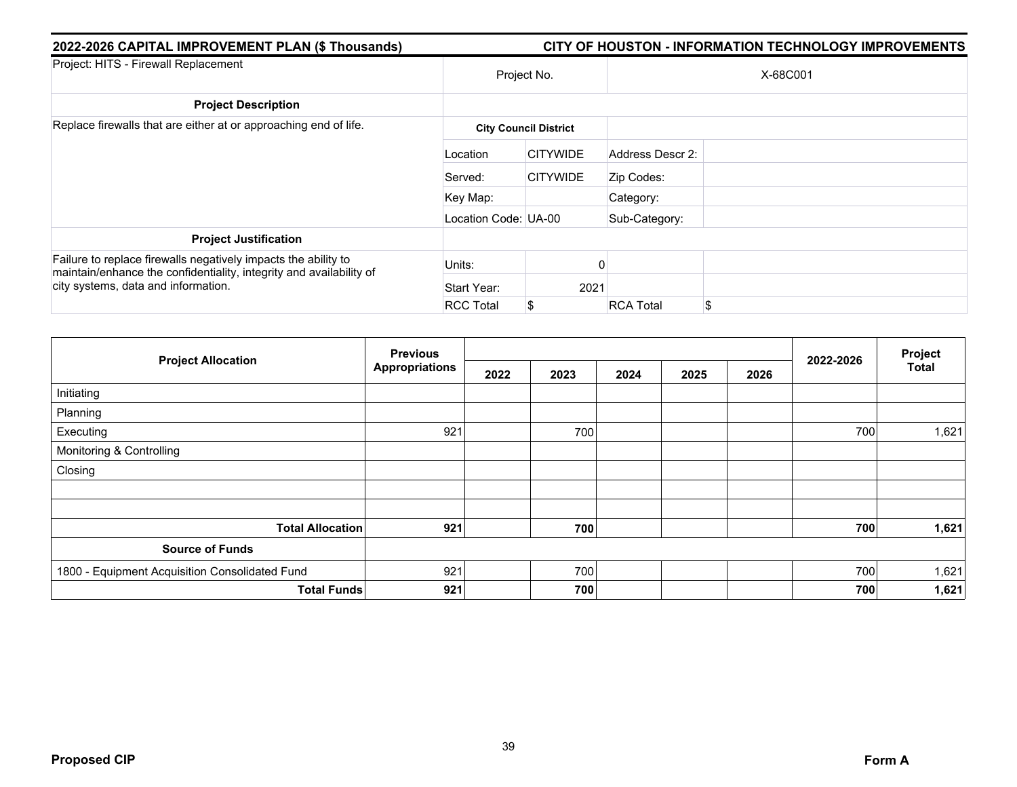| 2022-2026 CAPITAL IMPROVEMENT PLAN (\$ Thousands)                                                                                                                            | CITY OF HOUSTON - INFORMATION TECHNOLOGY IMPROVEMENTS |                              |                  |          |  |  |  |  |
|------------------------------------------------------------------------------------------------------------------------------------------------------------------------------|-------------------------------------------------------|------------------------------|------------------|----------|--|--|--|--|
| Project: HITS - Firewall Replacement                                                                                                                                         |                                                       | Project No.                  |                  | X-68C001 |  |  |  |  |
| <b>Project Description</b>                                                                                                                                                   |                                                       |                              |                  |          |  |  |  |  |
| Replace firewalls that are either at or approaching end of life.                                                                                                             |                                                       | <b>City Council District</b> |                  |          |  |  |  |  |
|                                                                                                                                                                              | Location                                              | <b>CITYWIDE</b>              | Address Descr 2: |          |  |  |  |  |
|                                                                                                                                                                              | Served:                                               | <b>CITYWIDE</b>              | Zip Codes:       |          |  |  |  |  |
|                                                                                                                                                                              | Key Map:                                              |                              | Category:        |          |  |  |  |  |
|                                                                                                                                                                              | Location Code: UA-00                                  |                              | Sub-Category:    |          |  |  |  |  |
| <b>Project Justification</b>                                                                                                                                                 |                                                       |                              |                  |          |  |  |  |  |
| Failure to replace firewalls negatively impacts the ability to<br>maintain/enhance the confidentiality, integrity and availability of<br>city systems, data and information. | Units:                                                |                              |                  |          |  |  |  |  |
|                                                                                                                                                                              | Start Year:                                           | 2021                         |                  |          |  |  |  |  |
|                                                                                                                                                                              | <b>RCC Total</b>                                      | \$                           | <b>RCA Total</b> | \$.      |  |  |  |  |

| <b>Project Allocation</b>                      | <b>Previous</b>       |      |      |      |      |      |           | Project      |
|------------------------------------------------|-----------------------|------|------|------|------|------|-----------|--------------|
|                                                | <b>Appropriations</b> | 2022 | 2023 | 2024 | 2025 | 2026 | 2022-2026 | <b>Total</b> |
| Initiating                                     |                       |      |      |      |      |      |           |              |
| Planning                                       |                       |      |      |      |      |      |           |              |
| Executing                                      | 921                   |      | 700  |      |      |      | 700       | 1,621        |
| Monitoring & Controlling                       |                       |      |      |      |      |      |           |              |
| Closing                                        |                       |      |      |      |      |      |           |              |
|                                                |                       |      |      |      |      |      |           |              |
|                                                |                       |      |      |      |      |      |           |              |
| <b>Total Allocation</b>                        | 921                   |      | 700  |      |      |      | 700       | 1,621        |
| <b>Source of Funds</b>                         |                       |      |      |      |      |      |           |              |
| 1800 - Equipment Acquisition Consolidated Fund | 921                   |      | 700  |      |      |      | 700       | 1,621        |
| <b>Total Funds</b>                             | 921                   |      | 700  |      |      |      | 700       | 1,621        |